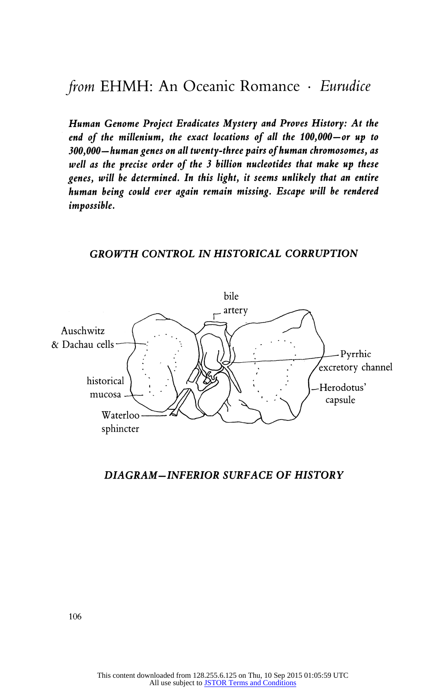# from EHMH: An Oceanic Romance · Eurudice

**Human Genome Project Eradicates Mystery and Proves History: At the**  end of the millenium, the exact locations of all the 100,000-or up to **300,000?human genes on all twenty-three pairs of human chromosomes, as well as the precise order of the 3 billion nucleotides that make up these genes, will be determined. In this light, it seems unlikely that an entire human being could ever again remain missing. Escape will be rendered impossible.** 

### **GROWTH CONTROL IN HISTORICAL CORRUPTION**



#### **DIAGRAM-INFERIOR SURFACE OF HISTORY**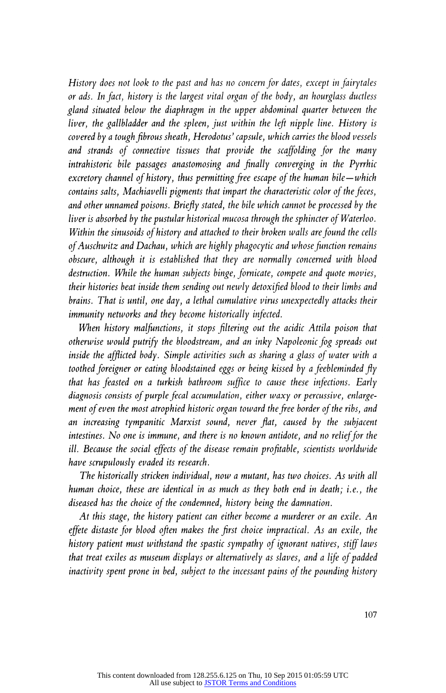**History does not look to the past and has no concern for dates, except in fairytales or ads. In fact, history is the largest vital organ of the body, an hourglass ductless gland situated below the diaphragm in the upper abdominal quarter between the liver, the gallbladder and the spleen, just within the left nipple line. History is covered by a tough fibrous sheath, Herodotus' capsule, which carries the blood vessels and strands of connective tissues that provide the scaffolding for the many intrahistoric bile passages anastomosing and finally converging in the Pyrrhic**  *excretory channel of history, thus permitting free escape of the human bile—which* **contains salts, Machiavelli pigments that impart the characteristic color of the feces, and other unnamed poisons. Briefly stated, the bile which cannot be processed by the liver is absorbed by the pustular historical mucosa through the sphincter of Waterloo. Within the sinusoids of history and attached to their broken walls are found the cells of Auschwitz and Dachau, which are highly phagocytic and whose function remains obscure, although it is established that they are normally concerned with blood destruction. While the human subjects binge, fornicate, compete and quote movies, their histories beat inside them sending out newly detoxified blood to their limbs and brains. That is until, one day, a lethal cumulative virus unexpectedly attacks their immunity networks and they become historically infected.** 

**When history malfunctions, it stops filtering out the acidic Attila poison that otherwise would putrify the bloodstream, and an inky Napoleonic fog spreads out inside the afflicted body. Simple activities such as sharing a glass of water with a toothed foreigner or eating bloodstained eggs or being kissed by a feebleminded fly that has feasted on a turkish bathroom suffice to cause these infections. Early diagnosis consists of purple fecal accumulation, either waxy or percussive, enlarge ment of even the most atrophied historic organ toward the free border of the ribs, and an increasing tympanitic Marxist sound, never flat, caused by the subjacent intestines. No one is immune, and there is no known antidote, and no relief for the ill. Because the social effects of the disease remain profitable, scientists worldwide have scrupulously evaded its research.** 

**The historically stricken individual, now a mutant, has two choices. As with all human choice, these are identical in as much as they both end in death; i.e., the diseased has the choice of the condemned, history being the damnation.** 

**At this stage, the history patient can either become a murderer or an exile. An effete distaste for blood often makes the first choice impractical. As an exile, the history patient must withstand the spastic sympathy of ignorant natives, stiff laws that treat exiles as museum displays or alternatively as slaves, and a life of padded inactivity spent prone in bed, subject to the incessant pains of the pounding history**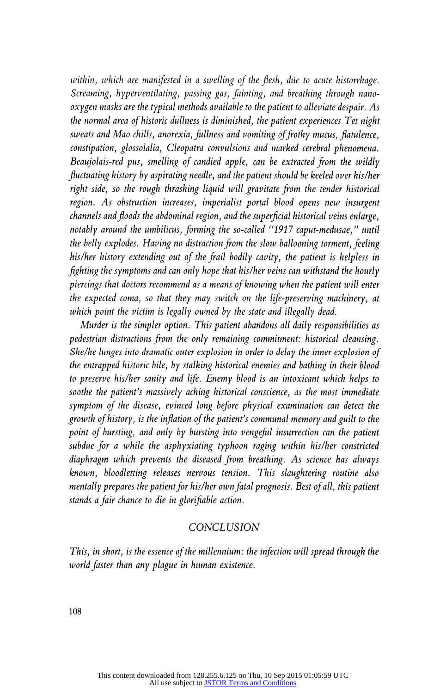**within, which are manifested in a swelling of the flesh, due to acute historrhage. Screaming, hyperventilating, passing gas, fainting, and breathing through nano oxygen masks are the typical methods available to the patient to alleviate despair. As the normal area of historic dullness is diminished, the patient experiences Tet night sweats and Mao chills, anorexia, fullness and vomiting of frothy mucus, flatulence, constipation, glossolalia, Cleopatra convulsions and marked cerebral phenomena. Beaujolais-red pus, smelling of candied apple, can be extracted from the wildly fluctuating history by aspirating needle, and the patient should be keeled over his/her right side, so the rough thrashing liquid will gravitate from the tender historical region. As obstruction increases, imperialist portal blood opens new insurgent channels and floods the abdominal region, and the superficial historical veins enlarge, notably around the umbilicus, forming the so-called "1917 caput-medusae," until the belly explodes. Having no distraction from the slow ballooning torment, feeling his/her history extending out of the frail bodily cavity, the patient is helpless in fighting the symptoms and can only hope that his/her veins can withstand the hourly piercings that doctors recommend as a means of knowing when the patient will enter the expected coma, so that they may switch on the life-preserving machinery, at which point the victim is legally owned by the state and illegally dead.** 

**Murder is the simpler option. This patient abandons all daily responsibilities as pedestrian distractions from the only remaining commitment: historical cleansing. She/he lunges into dramatic outer explosion in order to delay the inner explosion of the entrapped historic bile, by stalking historical enemies and bathing in their blood to preserve his/her sanity and life. Enemy blood is an intoxicant which helps to soothe the patient's massively aching historical conscience, as the most immediate symptom of the disease, evinced long before physical examination can detect the growth of history, is the inflation of the patient's communal memory and guilt to the point of bursting, and only by bursting into vengeful insurrection can the patient subdue for a while the asphyxiating typhoon raging within his/her constricted diaphragm which prevents the diseased from breathing. As science has always known, bloodletting releases nervous tension. This slaughtering routine also mentally prepares the patient for his/her own fatal prognosis. Best of all, this patient stands a fair chance to die in glorifiable action.** 

#### **CONCLUSION**

**This, in short, is the essence of the millennium: the infection will spread through the world faster than any plague in human existence.**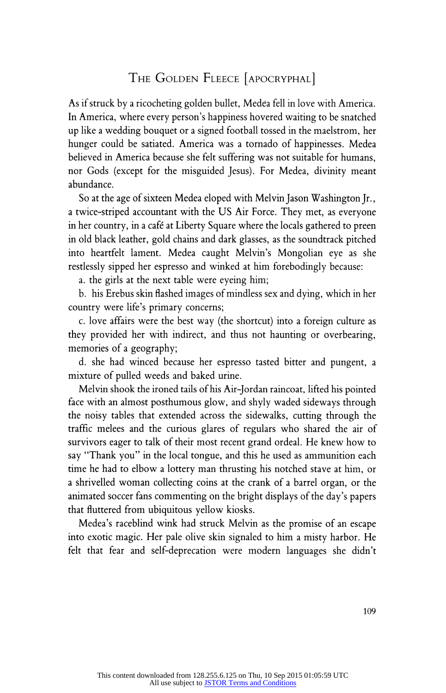## **The Golden Fleece [apocryphal]**

As if struck by a ricocheting golden bullet, Medea fell in love with America. **In America, where every person's happiness hovered waiting to be snatched up like a wedding bouquet or a signed football tossed in the maelstrom, her hunger could be satiated. America was a tornado of happinesses. Medea believed in America because she felt suffering was not suitable for humans, nor Gods (except for the misguided Jesus). For Medea, divinity meant abundance.** 

So at the age of sixteen Medea eloped with Melvin Jason Washington Jr., **a twice-striped accountant with the US Air Force. They met, as everyone**  in her country, in a café at Liberty Square where the locals gathered to preen **in old black leather, gold chains and dark glasses, as the soundtrack pitched into heartfelt lament. Medea caught Melvin's Mongolian eye as she restlessly sipped her espresso and winked at him forebodingly because:** 

**a. the girls at the next table were eyeing him;** 

**b. his Erebus skin flashed images of mindless sex and dying, which in her country were life's primary concerns;** 

**c. love affairs were the best way (the shortcut) into a foreign culture as they provided her with indirect, and thus not haunting or overbearing, memories of a geography;** 

**d. she had winced because her espresso tasted bitter and pungent, a mixture of pulled weeds and baked urine.** 

**Mel vin shook the ironed tails of his Air-Jordan raincoat, lifted his pointed face with an almost posthumous glow, and shyly waded sideways through the noisy tables that extended across the sidewalks, cutting through the traffic melees and the curious glares of regulars who shared the air of survivors eager to talk of their most recent grand ordeal. He knew how to say "Thank you" in the local tongue, and this he used as ammunition each time he had to elbow a lottery man thrusting his notched stave at him, or a shrivelled woman collecting coins at the crank of a barrel organ, or the animated soccer fans commenting on the bright displays of the day's papers that fluttered from ubiquitous yellow kiosks.** 

**Medea's raceblind wink had struck Melvin as the promise of an escape into exotic magic. Her pale olive skin signaled to him a misty harbor. He felt that fear and self-deprecation were modern languages she didn't**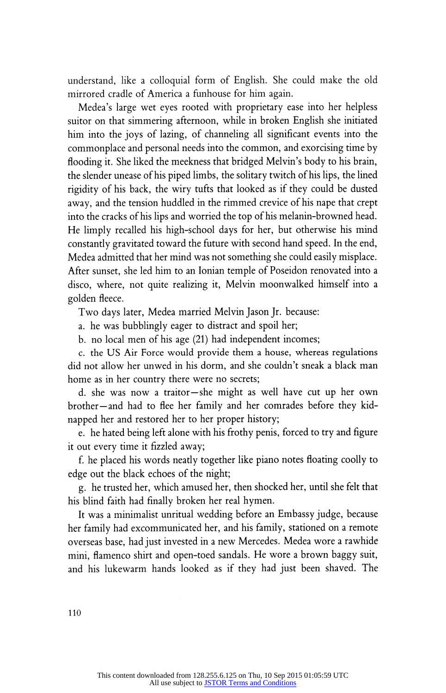**understand, like a colloquial form of English. She could make the old mirrored cradle of America a funhouse for him again.** 

**Medea's large wet eyes rooted with proprietary ease into her helpless suitor on that simmering afternoon, while in broken English she initiated him into the joys of lazing, of channeling all significant events into the commonplace and personal needs into the common, and exorcising time by flooding it. She liked the meekness that bridged Melvin's body to his brain, the slender unease of his piped limbs, the solitary twitch of his lips, the lined rigidity of his back, the wiry tufts that looked as if they could be dusted away, and the tension huddled in the rimmed crevice of his nape that crept into the cracks of his lips and worried the top of his melanin-browned head. He limply recalled his high-school days for her, but otherwise his mind constantly gravitated toward the future with second hand speed. In the end, Medea admitted that her mind was not something she could easily misplace. After sunset, she led him to an Ionian temple of Poseidon renovated into a disco, where, not quite realizing it, Melvin moonwalked himself into a golden fleece.** 

**Two days later, Medea married Melvin Jason Jr. because:** 

**a. he was bubblingly eager to distract and spoil her;** 

**b. no local men of his age (21) had independent incomes;** 

**c. the US Air Force would provide them a house, whereas regulations did not allow her unwed in his dorm, and she couldn't sneak a black man home as in her country there were no secrets;** 

d. she was now a traitor-she might as well have cut up her own brother-and had to flee her family and her comrades before they kid**napped her and restored her to her proper history;** 

**e. he hated being left alone with his frothy penis, forced to try and figure it out every time it fizzled away;** 

**f. he placed his words neatly together like piano notes floating coolly to edge out the black echoes of the night;** 

**g. he trusted her, which amused her, then shocked her, until she felt that his blind faith had finally broken her real hymen.** 

**It was a minimalist unritual wedding before an Embassy judge, because her family had excommunicated her, and his family, stationed on a remote overseas base, had just invested in a new Mercedes. Medea wore a rawhide mini, flamenco shirt and open-toed sandals. He wore a brown baggy suit, and his lukewarm hands looked as if they had just been shaved. The**